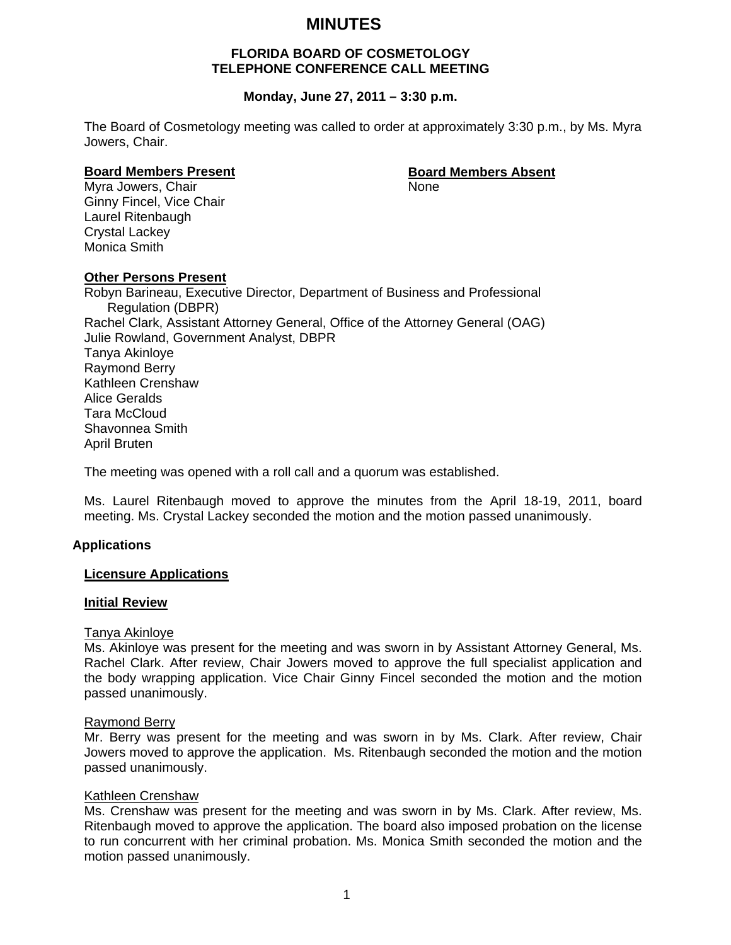# **MINUTES**

# **FLORIDA BOARD OF COSMETOLOGY TELEPHONE CONFERENCE CALL MEETING**

# **Monday, June 27, 2011 – 3:30 p.m.**

The Board of Cosmetology meeting was called to order at approximately 3:30 p.m., by Ms. Myra Jowers, Chair.

#### **Board Members Present Communist Communist Board Members Absent**

Myra Jowers, Chair None Ginny Fincel, Vice Chair Laurel Ritenbaugh Crystal Lackey Monica Smith

#### **Other Persons Present**

Robyn Barineau, Executive Director, Department of Business and Professional Regulation (DBPR) Rachel Clark, Assistant Attorney General, Office of the Attorney General (OAG) Julie Rowland, Government Analyst, DBPR Tanya Akinloye Raymond Berry Kathleen Crenshaw Alice Geralds Tara McCloud Shavonnea Smith April Bruten

The meeting was opened with a roll call and a quorum was established.

Ms. Laurel Ritenbaugh moved to approve the minutes from the April 18-19, 2011, board meeting. Ms. Crystal Lackey seconded the motion and the motion passed unanimously.

#### **Applications**

#### **Licensure Applications**

#### **Initial Review**

#### Tanya Akinloye

Ms. Akinloye was present for the meeting and was sworn in by Assistant Attorney General, Ms. Rachel Clark. After review, Chair Jowers moved to approve the full specialist application and the body wrapping application. Vice Chair Ginny Fincel seconded the motion and the motion passed unanimously.

#### Raymond Berry

Mr. Berry was present for the meeting and was sworn in by Ms. Clark. After review, Chair Jowers moved to approve the application. Ms. Ritenbaugh seconded the motion and the motion passed unanimously.

#### Kathleen Crenshaw

Ms. Crenshaw was present for the meeting and was sworn in by Ms. Clark. After review, Ms. Ritenbaugh moved to approve the application. The board also imposed probation on the license to run concurrent with her criminal probation. Ms. Monica Smith seconded the motion and the motion passed unanimously.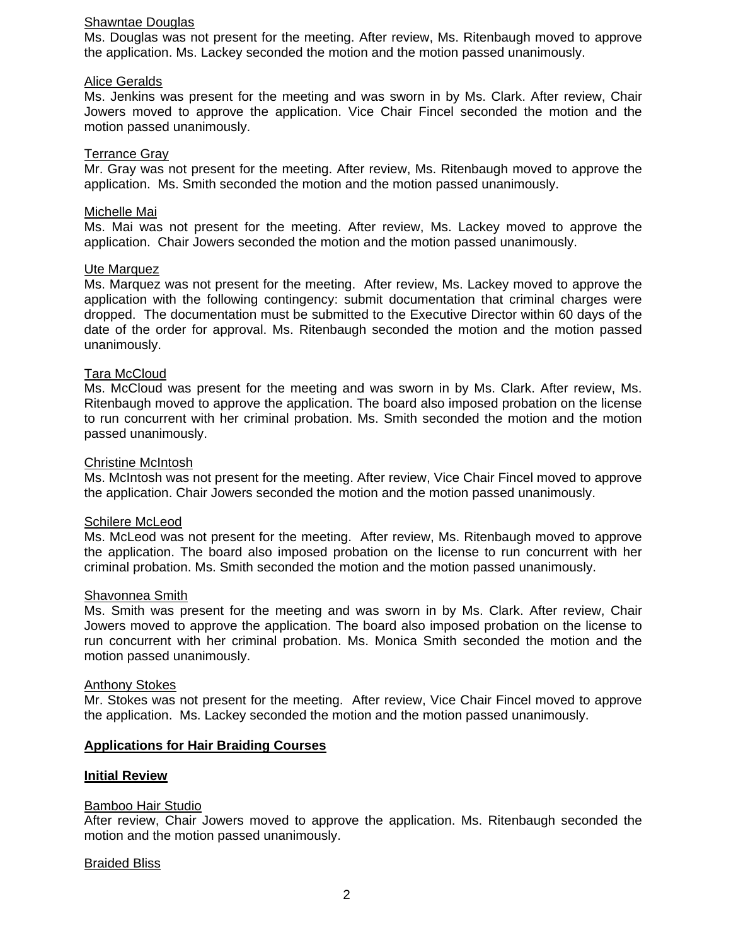#### Shawntae Douglas

Ms. Douglas was not present for the meeting. After review, Ms. Ritenbaugh moved to approve the application. Ms. Lackey seconded the motion and the motion passed unanimously.

#### Alice Geralds

Ms. Jenkins was present for the meeting and was sworn in by Ms. Clark. After review, Chair Jowers moved to approve the application. Vice Chair Fincel seconded the motion and the motion passed unanimously.

#### Terrance Gray

Mr. Gray was not present for the meeting. After review, Ms. Ritenbaugh moved to approve the application. Ms. Smith seconded the motion and the motion passed unanimously.

### Michelle Mai

Ms. Mai was not present for the meeting. After review, Ms. Lackey moved to approve the application. Chair Jowers seconded the motion and the motion passed unanimously.

#### Ute Marquez

Ms. Marquez was not present for the meeting. After review, Ms. Lackey moved to approve the application with the following contingency: submit documentation that criminal charges were dropped. The documentation must be submitted to the Executive Director within 60 days of the date of the order for approval. Ms. Ritenbaugh seconded the motion and the motion passed unanimously.

# Tara McCloud

Ms. McCloud was present for the meeting and was sworn in by Ms. Clark. After review, Ms. Ritenbaugh moved to approve the application. The board also imposed probation on the license to run concurrent with her criminal probation. Ms. Smith seconded the motion and the motion passed unanimously.

#### Christine McIntosh

Ms. McIntosh was not present for the meeting. After review, Vice Chair Fincel moved to approve the application. Chair Jowers seconded the motion and the motion passed unanimously.

#### Schilere McLeod

Ms. McLeod was not present for the meeting. After review, Ms. Ritenbaugh moved to approve the application. The board also imposed probation on the license to run concurrent with her criminal probation. Ms. Smith seconded the motion and the motion passed unanimously.

#### Shavonnea Smith

Ms. Smith was present for the meeting and was sworn in by Ms. Clark. After review, Chair Jowers moved to approve the application. The board also imposed probation on the license to run concurrent with her criminal probation. Ms. Monica Smith seconded the motion and the motion passed unanimously.

#### Anthony Stokes

Mr. Stokes was not present for the meeting. After review, Vice Chair Fincel moved to approve the application. Ms. Lackey seconded the motion and the motion passed unanimously.

# **Applications for Hair Braiding Courses**

#### **Initial Review**

#### Bamboo Hair Studio

After review, Chair Jowers moved to approve the application. Ms. Ritenbaugh seconded the motion and the motion passed unanimously.

#### Braided Bliss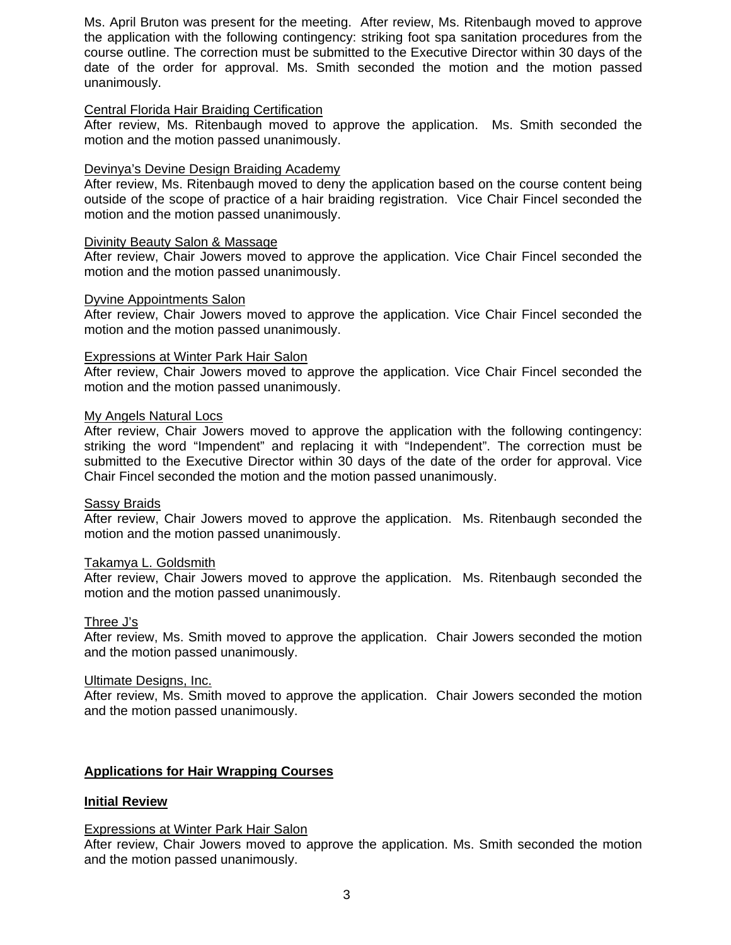Ms. April Bruton was present for the meeting. After review, Ms. Ritenbaugh moved to approve the application with the following contingency: striking foot spa sanitation procedures from the course outline. The correction must be submitted to the Executive Director within 30 days of the date of the order for approval. Ms. Smith seconded the motion and the motion passed unanimously.

### Central Florida Hair Braiding Certification

After review, Ms. Ritenbaugh moved to approve the application. Ms. Smith seconded the motion and the motion passed unanimously.

# Devinya's Devine Design Braiding Academy

After review, Ms. Ritenbaugh moved to deny the application based on the course content being outside of the scope of practice of a hair braiding registration. Vice Chair Fincel seconded the motion and the motion passed unanimously.

#### Divinity Beauty Salon & Massage

After review, Chair Jowers moved to approve the application. Vice Chair Fincel seconded the motion and the motion passed unanimously.

#### Dyvine Appointments Salon

After review, Chair Jowers moved to approve the application. Vice Chair Fincel seconded the motion and the motion passed unanimously.

#### Expressions at Winter Park Hair Salon

After review, Chair Jowers moved to approve the application. Vice Chair Fincel seconded the motion and the motion passed unanimously.

# My Angels Natural Locs

After review, Chair Jowers moved to approve the application with the following contingency: striking the word "Impendent" and replacing it with "Independent". The correction must be submitted to the Executive Director within 30 days of the date of the order for approval. Vice Chair Fincel seconded the motion and the motion passed unanimously.

#### Sassy Braids

After review, Chair Jowers moved to approve the application. Ms. Ritenbaugh seconded the motion and the motion passed unanimously.

#### Takamya L. Goldsmith

After review, Chair Jowers moved to approve the application. Ms. Ritenbaugh seconded the motion and the motion passed unanimously.

#### Three J's

After review, Ms. Smith moved to approve the application. Chair Jowers seconded the motion and the motion passed unanimously.

#### Ultimate Designs, Inc.

After review, Ms. Smith moved to approve the application. Chair Jowers seconded the motion and the motion passed unanimously.

# **Applications for Hair Wrapping Courses**

#### **Initial Review**

#### Expressions at Winter Park Hair Salon

After review, Chair Jowers moved to approve the application. Ms. Smith seconded the motion and the motion passed unanimously.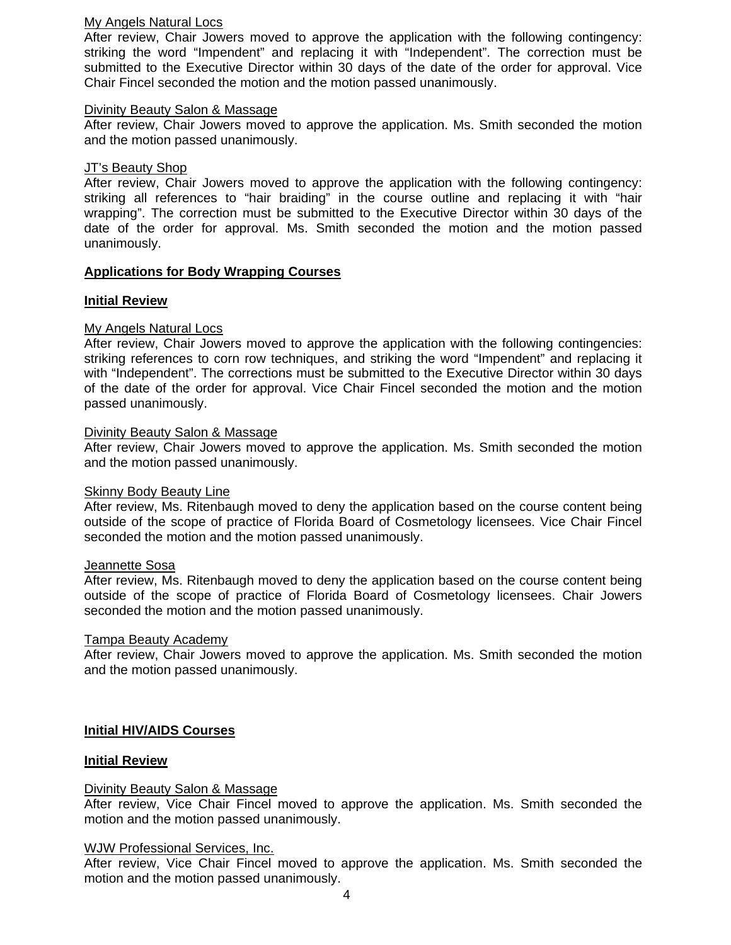### My Angels Natural Locs

After review, Chair Jowers moved to approve the application with the following contingency: striking the word "Impendent" and replacing it with "Independent". The correction must be submitted to the Executive Director within 30 days of the date of the order for approval. Vice Chair Fincel seconded the motion and the motion passed unanimously.

#### Divinity Beauty Salon & Massage

After review, Chair Jowers moved to approve the application. Ms. Smith seconded the motion and the motion passed unanimously.

# JT's Beauty Shop

After review, Chair Jowers moved to approve the application with the following contingency: striking all references to "hair braiding" in the course outline and replacing it with "hair wrapping". The correction must be submitted to the Executive Director within 30 days of the date of the order for approval. Ms. Smith seconded the motion and the motion passed unanimously.

# **Applications for Body Wrapping Courses**

# **Initial Review**

# My Angels Natural Locs

After review, Chair Jowers moved to approve the application with the following contingencies: striking references to corn row techniques, and striking the word "Impendent" and replacing it with "Independent". The corrections must be submitted to the Executive Director within 30 days of the date of the order for approval. Vice Chair Fincel seconded the motion and the motion passed unanimously.

#### Divinity Beauty Salon & Massage

After review, Chair Jowers moved to approve the application. Ms. Smith seconded the motion and the motion passed unanimously.

#### Skinny Body Beauty Line

After review, Ms. Ritenbaugh moved to deny the application based on the course content being outside of the scope of practice of Florida Board of Cosmetology licensees. Vice Chair Fincel seconded the motion and the motion passed unanimously.

#### Jeannette Sosa

After review, Ms. Ritenbaugh moved to deny the application based on the course content being outside of the scope of practice of Florida Board of Cosmetology licensees. Chair Jowers seconded the motion and the motion passed unanimously.

#### Tampa Beauty Academy

After review, Chair Jowers moved to approve the application. Ms. Smith seconded the motion and the motion passed unanimously.

#### **Initial HIV/AIDS Courses**

#### **Initial Review**

#### Divinity Beauty Salon & Massage

After review, Vice Chair Fincel moved to approve the application. Ms. Smith seconded the motion and the motion passed unanimously.

#### WJW Professional Services, Inc.

After review, Vice Chair Fincel moved to approve the application. Ms. Smith seconded the motion and the motion passed unanimously.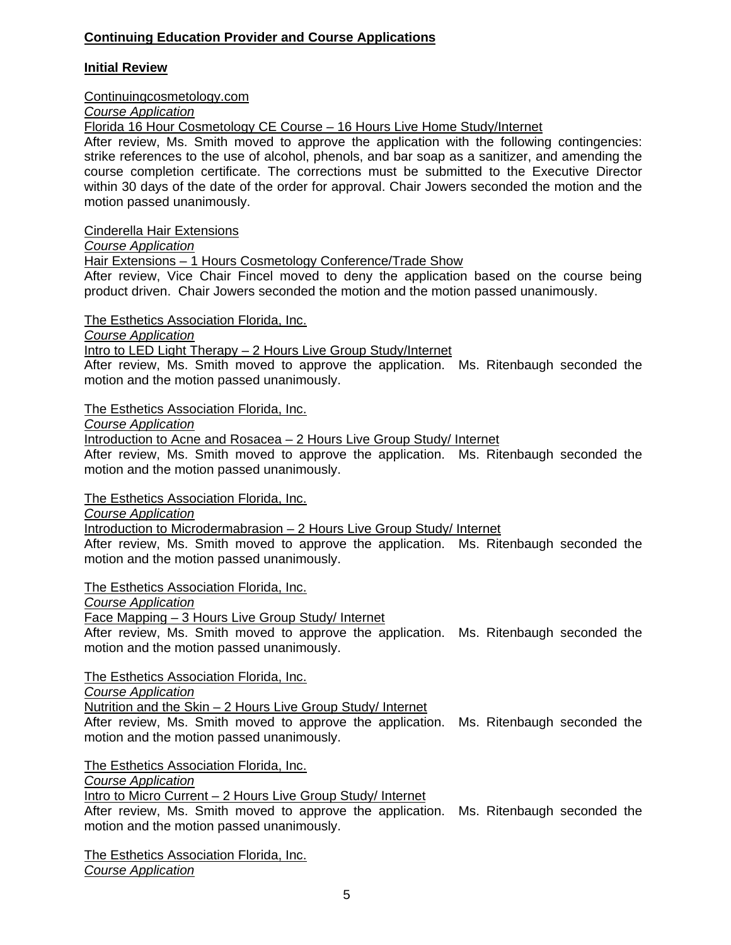# **Continuing Education Provider and Course Applications**

# **Initial Review**

# Continuingcosmetology.com

*Course Application*

Florida 16 Hour Cosmetology CE Course – 16 Hours Live Home Study/Internet

After review, Ms. Smith moved to approve the application with the following contingencies: strike references to the use of alcohol, phenols, and bar soap as a sanitizer, and amending the course completion certificate. The corrections must be submitted to the Executive Director within 30 days of the date of the order for approval. Chair Jowers seconded the motion and the motion passed unanimously.

Cinderella Hair Extensions

*Course Application* 

Hair Extensions – 1 Hours Cosmetology Conference/Trade Show

After review, Vice Chair Fincel moved to deny the application based on the course being product driven. Chair Jowers seconded the motion and the motion passed unanimously.

The Esthetics Association Florida, Inc.

*Course Application* 

Intro to LED Light Therapy – 2 Hours Live Group Study/Internet

After review, Ms. Smith moved to approve the application. Ms. Ritenbaugh seconded the motion and the motion passed unanimously.

The Esthetics Association Florida, Inc.

*Course Application* 

Introduction to Acne and Rosacea – 2 Hours Live Group Study/ Internet

After review, Ms. Smith moved to approve the application. Ms. Ritenbaugh seconded the motion and the motion passed unanimously.

The Esthetics Association Florida, Inc.

*Course Application* 

Introduction to Microdermabrasion – 2 Hours Live Group Study/ Internet

After review, Ms. Smith moved to approve the application. Ms. Ritenbaugh seconded the motion and the motion passed unanimously.

The Esthetics Association Florida, Inc.

*Course Application* 

Face Mapping – 3 Hours Live Group Study/ Internet

After review, Ms. Smith moved to approve the application. Ms. Ritenbaugh seconded the motion and the motion passed unanimously.

The Esthetics Association Florida, Inc.

*Course Application* 

Nutrition and the Skin – 2 Hours Live Group Study/ Internet

After review, Ms. Smith moved to approve the application. Ms. Ritenbaugh seconded the motion and the motion passed unanimously.

The Esthetics Association Florida, Inc.

*Course Application* 

Intro to Micro Current – 2 Hours Live Group Study/ Internet

After review, Ms. Smith moved to approve the application. Ms. Ritenbaugh seconded the motion and the motion passed unanimously.

The Esthetics Association Florida, Inc. *Course Application*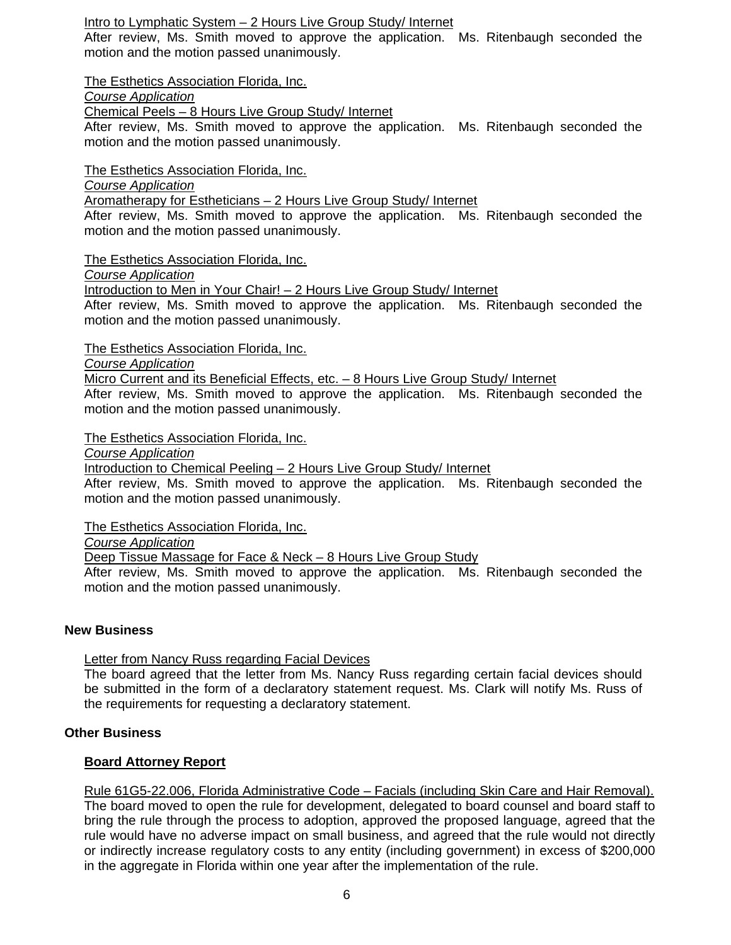# Intro to Lymphatic System – 2 Hours Live Group Study/ Internet

After review, Ms. Smith moved to approve the application. Ms. Ritenbaugh seconded the motion and the motion passed unanimously.

The Esthetics Association Florida, Inc.

*Course Application* 

Chemical Peels – 8 Hours Live Group Study/ Internet

After review, Ms. Smith moved to approve the application. Ms. Ritenbaugh seconded the motion and the motion passed unanimously.

The Esthetics Association Florida, Inc.

*Course Application* 

Aromatherapy for Estheticians – 2 Hours Live Group Study/ Internet

After review, Ms. Smith moved to approve the application. Ms. Ritenbaugh seconded the motion and the motion passed unanimously.

The Esthetics Association Florida, Inc.

*Course Application* 

Introduction to Men in Your Chair! – 2 Hours Live Group Study/ Internet

After review, Ms. Smith moved to approve the application. Ms. Ritenbaugh seconded the motion and the motion passed unanimously.

The Esthetics Association Florida, Inc.

*Course Application* 

Micro Current and its Beneficial Effects, etc. - 8 Hours Live Group Study/ Internet After review, Ms. Smith moved to approve the application. Ms. Ritenbaugh seconded the motion and the motion passed unanimously.

The Esthetics Association Florida, Inc.

*Course Application* 

Introduction to Chemical Peeling – 2 Hours Live Group Study/ Internet

After review, Ms. Smith moved to approve the application. Ms. Ritenbaugh seconded the motion and the motion passed unanimously.

The Esthetics Association Florida, Inc.

*Course Application* 

Deep Tissue Massage for Face & Neck – 8 Hours Live Group Study

After review, Ms. Smith moved to approve the application. Ms. Ritenbaugh seconded the motion and the motion passed unanimously.

### **New Business**

Letter from Nancy Russ regarding Facial Devices

The board agreed that the letter from Ms. Nancy Russ regarding certain facial devices should be submitted in the form of a declaratory statement request. Ms. Clark will notify Ms. Russ of the requirements for requesting a declaratory statement.

# **Other Business**

# **Board Attorney Report**

Rule 61G5-22.006, Florida Administrative Code – Facials (including Skin Care and Hair Removal). The board moved to open the rule for development, delegated to board counsel and board staff to bring the rule through the process to adoption, approved the proposed language, agreed that the rule would have no adverse impact on small business, and agreed that the rule would not directly or indirectly increase regulatory costs to any entity (including government) in excess of \$200,000 in the aggregate in Florida within one year after the implementation of the rule.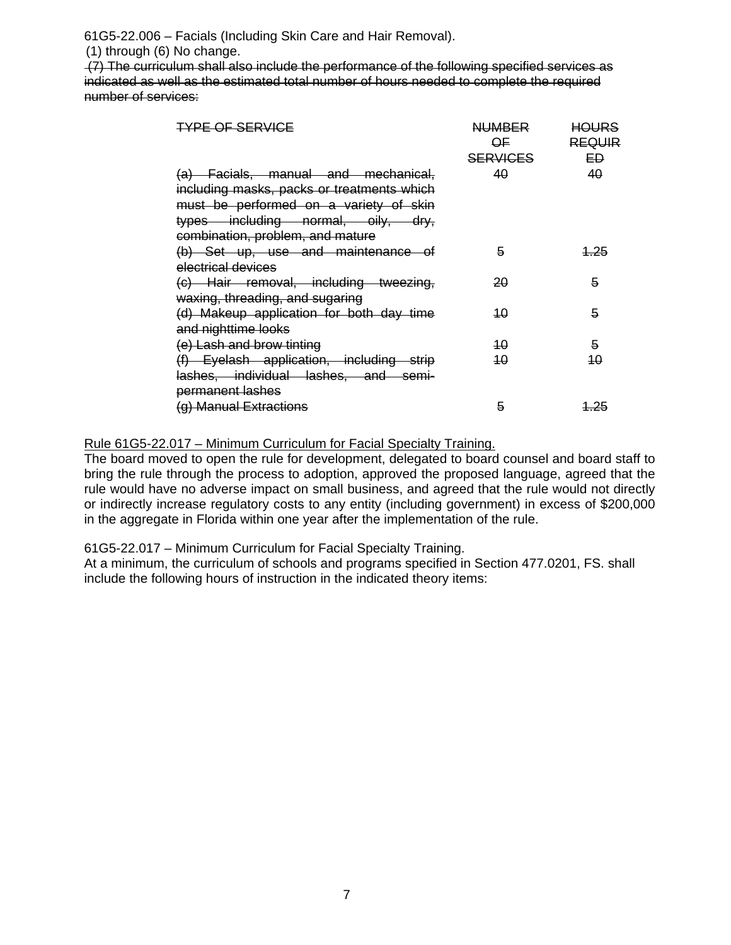61G5-22.006 – Facials (Including Skin Care and Hair Removal).

(1) through (6) No change.

 (7) The curriculum shall also include the performance of the following specified services as indicated as well as the estimated total number of hours needed to complete the required number of services:

| <b>TYPE OF SERVICE</b>                                                                                                                                                                                | <b>NUMBER</b><br>OF<br><b>SERVICES</b> | <b>HOURS</b><br><b>REQUIR</b><br>EĐ |
|-------------------------------------------------------------------------------------------------------------------------------------------------------------------------------------------------------|----------------------------------------|-------------------------------------|
| (a) Facials, manual and mechanical,<br>including masks, packs or treatments which<br>must be performed on a variety of skin<br>types including normal, oily, dry,<br>combination, problem, and mature | 40                                     | 40                                  |
| (b) Set up, use and maintenance of<br>electrical devices                                                                                                                                              | 5                                      | <u> 1.25</u>                        |
| (c) Hair removal, including tweezing,<br>waxing, threading, and sugaring                                                                                                                              | 20                                     | 5                                   |
| (d) Makeup application for both day time<br>and nighttime looks                                                                                                                                       | 10                                     | 5                                   |
| (e) Lash and brow tinting                                                                                                                                                                             | 40                                     | 5                                   |
| (f) Eyelash application, including strip<br>lashes, individual lashes, and semi-                                                                                                                      | 40                                     | 40                                  |
| permanent lashes                                                                                                                                                                                      |                                        |                                     |
| (g) Manual Extractions                                                                                                                                                                                | 5                                      | <u> 1.25</u>                        |

# Rule 61G5-22.017 – Minimum Curriculum for Facial Specialty Training.

The board moved to open the rule for development, delegated to board counsel and board staff to bring the rule through the process to adoption, approved the proposed language, agreed that the rule would have no adverse impact on small business, and agreed that the rule would not directly or indirectly increase regulatory costs to any entity (including government) in excess of \$200,000 in the aggregate in Florida within one year after the implementation of the rule.

61G5-22.017 – Minimum Curriculum for Facial Specialty Training.

At a minimum, the curriculum of schools and programs specified in Section 477.0201, FS. shall include the following hours of instruction in the indicated theory items: